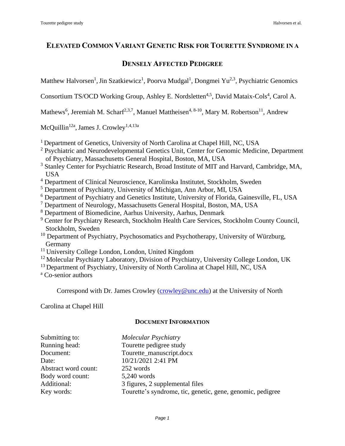# **ELEVATED COMMON VARIANT GENETIC RISK FOR TOURETTE SYNDROME IN A**

# **DENSELY AFFECTED PEDIGREE**

Matthew Halvorsen<sup>1</sup>, Jin Szatkiewicz<sup>1</sup>, Poorva Mudgal<sup>1</sup>, Dongmei Yu<sup>2,3</sup>, Psychiatric Genomics

Consortium TS/OCD Working Group, Ashley E. Nordsletten<sup>4,5</sup>, David Mataix-Cols<sup>4</sup>, Carol A.

Mathews<sup>6</sup>, Jeremiah M. Scharf<sup>2,3,7</sup>, Manuel Mattheisen<sup>4, 8-10</sup>, Mary M. Robertson<sup>11</sup>, Andrew

McQuillin<sup>12a</sup>, James J. Crowley<sup>1,4,13a</sup>

- <sup>1</sup> Department of Genetics, University of North Carolina at Chapel Hill, NC, USA
- <sup>2</sup> Psychiatric and Neurodevelopmental Genetics Unit, Center for Genomic Medicine, Department of Psychiatry, Massachusetts General Hospital, Boston, MA, USA
- <sup>3</sup> Stanley Center for Psychiatric Research, Broad Institute of MIT and Harvard, Cambridge, MA, USA
- <sup>4</sup> Department of Clinical Neuroscience, Karolinska Institutet, Stockholm, Sweden
- <sup>5</sup> Department of Psychiatry, University of Michigan, Ann Arbor, MI, USA
- <sup>6</sup> Department of Psychiatry and Genetics Institute, University of Florida, Gainesville, FL, USA
- <sup>7</sup> Department of Neurology, Massachusetts General Hospital, Boston, MA, USA
- <sup>8</sup> Department of Biomedicine, Aarhus University, Aarhus, Denmark
- <sup>9</sup> Center for Psychiatry Research, Stockholm Health Care Services, Stockholm County Council, Stockholm, Sweden
- $10$  Department of Psychiatry, Psychosomatics and Psychotherapy, University of Würzburg, Germany
- <sup>11</sup> University College London, London, United Kingdom
- <sup>12</sup> Molecular Psychiatry Laboratory, Division of Psychiatry, University College London, UK
- <sup>13</sup> Department of Psychiatry, University of North Carolina at Chapel Hill, NC, USA

<sup>a</sup> Co-senior authors

Correspond with Dr. James Crowley [\(crowley@unc.edu\)](mailto:crowley@unc.edu) at the University of North

Carolina at Chapel Hill

# **DOCUMENT INFORMATION**

| Submitting to:       | <b>Molecular Psychiatry</b>                                |
|----------------------|------------------------------------------------------------|
| Running head:        | Tourette pedigree study                                    |
| Document:            | Tourette_manuscript.docx                                   |
| Date:                | 10/21/2021 2:41 PM                                         |
| Abstract word count: | 252 words                                                  |
| Body word count:     | 5,240 words                                                |
| Additional:          | 3 figures, 2 supplemental files                            |
| Key words:           | Tourette's syndrome, tic, genetic, gene, genomic, pedigree |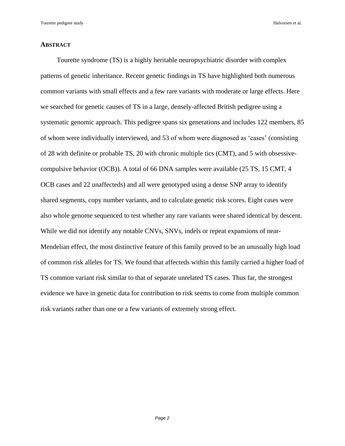### **ABSTRACT**

Tourette syndrome (TS) is a highly heritable neuropsychiatric disorder with complex patterns of genetic inheritance. Recent genetic findings in TS have highlighted both numerous common variants with small effects and a few rare variants with moderate or large effects. Here we searched for genetic causes of TS in a large, densely-affected British pedigree using a systematic genomic approach. This pedigree spans six generations and includes 122 members, 85 of whom were individually interviewed, and 53 of whom were diagnosed as 'cases' (consisting of 28 with definite or probable TS, 20 with chronic multiple tics (CMT), and 5 with obsessivecompulsive behavior (OCB)). A total of 66 DNA samples were available (25 TS, 15 CMT, 4 OCB cases and 22 unaffecteds) and all were genotyped using a dense SNP array to identify shared segments, copy number variants, and to calculate genetic risk scores. Eight cases were also whole genome sequenced to test whether any rare variants were shared identical by descent. While we did not identify any notable CNVs, SNVs, indels or repeat expansions of near-Mendelian effect, the most distinctive feature of this family proved to be an unusually high load of common risk alleles for TS. We found that affecteds within this family carried a higher load of TS common variant risk similar to that of separate unrelated TS cases. Thus far, the strongest evidence we have in genetic data for contribution to risk seems to come from multiple common risk variants rather than one or a few variants of extremely strong effect.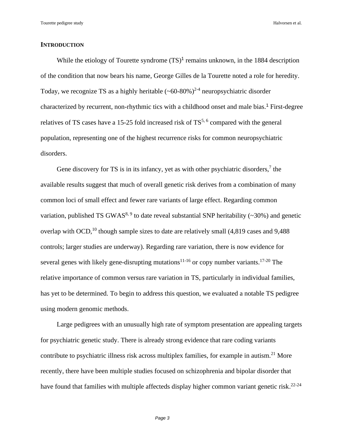# **INTRODUCTION**

While the etiology of Tourette syndrome  $(TS)^1$  $(TS)^1$  $(TS)^1$  $(TS)^1$  remains unknown, in the 1884 description of the condition that now bears his name, George Gilles de la Tourette noted a role for heredity. Today, we recognize TS as a highly heritable  $({\sim}60{\text -}80\%)^{2-4}$  $({\sim}60{\text -}80\%)^{2-4}$  $({\sim}60{\text -}80\%)^{2-4}$  neuropsychiatric disorder characterized by recurrent, non-rhythmic tics with a childhood onset and male bias[.](#page-21-0) [1](#page-21-0) First-degree relatives of TS cases have a 15-25 fold increased risk of  $TS^{5, 6}$  $TS^{5, 6}$  $TS^{5, 6}$  $TS^{5, 6}$  compared with the general population, representing one of the highest recurrence risks for common neuropsychiatric disorders.

Gene discovery for TS is in its infancy, yet as with other psychiatric disorders, $7$  the available results suggest that much of overall genetic risk derives from a combination of many common loci of small effect and fewer rare variants of large effect. Regarding common variation, published TS GWAS<sup>[8,](#page-22-3) [9](#page-22-4)</sup> to date reveal substantial SNP heritability ( $\sim$ 30%) and genetic overlap with OCD,<sup>[10](#page-22-5)</sup> though sample sizes to date are relatively small  $(4,819)$  cases and  $9,488$ controls; larger studies are underway). Regarding rare variation, there is now evidence for several genes with likely gene-disrupting mutations<sup>[11-16](#page-22-6)</sup> or copy number variants.<sup>[17-20](#page-23-0)</sup> The relative importance of common versus rare variation in TS, particularly in individual families, has yet to be determined. To begin to address this question, we evaluated a notable TS pedigree using modern genomic methods.

Large pedigrees with an unusually high rate of symptom presentation are appealing targets for psychiatric genetic study. There is already strong evidence that rare coding variants contribute to psychiatric illness risk across multiplex families, for example in autism.<sup>[21](#page-23-1)</sup> More recently, there have been multiple studies focused on schizophrenia and bipolar disorder that have found that families with multiple affecteds display higher common variant genetic risk.<sup>[22-24](#page-23-2)</sup>

*Page 3*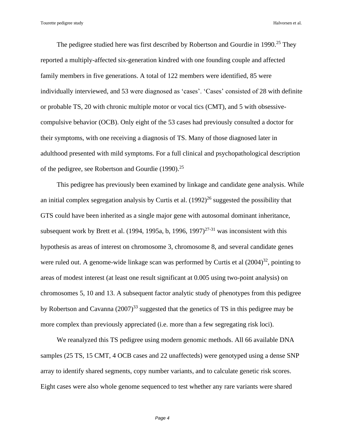The pedigree studied here was first described by Robertson and Gourdie in 1990.<sup>[25](#page-24-0)</sup> They reported a multiply-affected six-generation kindred with one founding couple and affected family members in five generations. A total of 122 members were identified, 85 were individually interviewed, and 53 were diagnosed as 'cases'. 'Cases' consisted of 28 with definite or probable TS, 20 with chronic multiple motor or vocal tics (CMT), and 5 with obsessivecompulsive behavior (OCB). Only eight of the 53 cases had previously consulted a doctor for their symptoms, with one receiving a diagnosis of TS. Many of those diagnosed later in adulthood presented with mild symptoms. For a full clinical and psychopathological description of the pedigree, see Robertson and Gourdie (1990).<sup>[25](#page-24-0)</sup>

This pedigree has previously been examined by linkage and candidate gene analysis. While an initial complex segregation analysis by Curtis et al.  $(1992)^{26}$  $(1992)^{26}$  $(1992)^{26}$  suggested the possibility that GTS could have been inherited as a single major gene with autosomal dominant inheritance, subsequent work by Brett et al. (1994, 1995a, b, 1996, 1997)<sup> $27-31$ </sup> was inconsistent with this hypothesis as areas of interest on chromosome 3, chromosome 8, and several candidate genes were ruled out. A genome-wide linkage scan was performed by Curtis et al  $(2004)^{32}$  $(2004)^{32}$  $(2004)^{32}$ , pointing to areas of modest interest (at least one result significant at 0.005 using two-point analysis) on chromosomes 5, 10 and 13. A subsequent factor analytic study of phenotypes from this pedigree by Robertson and Cavanna  $(2007)^{33}$  $(2007)^{33}$  $(2007)^{33}$  suggested that the genetics of TS in this pedigree may be more complex than previously appreciated (i.e. more than a few segregating risk loci).

We reanalyzed this TS pedigree using modern genomic methods. All 66 available DNA samples (25 TS, 15 CMT, 4 OCB cases and 22 unaffecteds) were genotyped using a dense SNP array to identify shared segments, copy number variants, and to calculate genetic risk scores. Eight cases were also whole genome sequenced to test whether any rare variants were shared

*Page 4*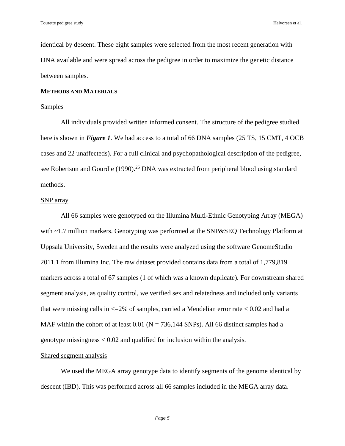identical by descent. These eight samples were selected from the most recent generation with DNA available and were spread across the pedigree in order to maximize the genetic distance between samples.

# **METHODS AND MATERIALS**

## Samples

All individuals provided written informed consent. The structure of the pedigree studied here is shown in *Figure 1*. We had access to a total of 66 DNA samples (25 TS, 15 CMT, 4 OCB) cases and 22 unaffecteds). For a full clinical and psychopathological description of the pedigree, see Robertson and Gourdie (1990).<sup>[25](#page-24-0)</sup> DNA was extracted from peripheral blood using standard methods.

# SNP array

All 66 samples were genotyped on the Illumina Multi-Ethnic Genotyping Array (MEGA) with ~1.7 million markers. Genotyping was performed at the SNP&SEQ Technology Platform at Uppsala University, Sweden and the results were analyzed using the software GenomeStudio 2011.1 from Illumina Inc. The raw dataset provided contains data from a total of 1,779,819 markers across a total of 67 samples (1 of which was a known duplicate). For downstream shared segment analysis, as quality control, we verified sex and relatedness and included only variants that were missing calls in  $\leq$  2% of samples, carried a Mendelian error rate  $\leq$  0.02 and had a MAF within the cohort of at least  $0.01$  (N = 736,144 SNPs). All 66 distinct samples had a genotype missingness < 0.02 and qualified for inclusion within the analysis.

# Shared segment analysis

We used the MEGA array genotype data to identify segments of the genome identical by descent (IBD). This was performed across all 66 samples included in the MEGA array data.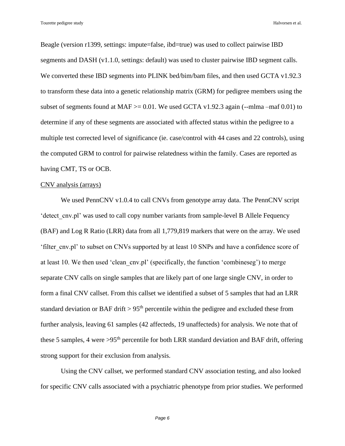Beagle (version r1399, settings: impute=false, ibd=true) was used to collect pairwise IBD segments and DASH (v1.1.0, settings: default) was used to cluster pairwise IBD segment calls. We converted these IBD segments into PLINK bed/bim/bam files, and then used GCTA v1.92.3 to transform these data into a genetic relationship matrix (GRM) for pedigree members using the subset of segments found at MAF  $>= 0.01$ . We used GCTA v1.92.3 again (--mlma –maf 0.01) to determine if any of these segments are associated with affected status within the pedigree to a multiple test corrected level of significance (ie. case/control with 44 cases and 22 controls), using the computed GRM to control for pairwise relatedness within the family. Cases are reported as having CMT, TS or OCB.

#### CNV analysis (arrays)

We used PennCNV v1.0.4 to call CNVs from genotype array data. The PennCNV script 'detect\_cnv.pl' was used to call copy number variants from sample-level B Allele Fequency (BAF) and Log R Ratio (LRR) data from all 1,779,819 markers that were on the array. We used 'filter\_cnv.pl' to subset on CNVs supported by at least 10 SNPs and have a confidence score of at least 10. We then used 'clean\_cnv.pl' (specifically, the function 'combineseg') to merge separate CNV calls on single samples that are likely part of one large single CNV, in order to form a final CNV callset. From this callset we identified a subset of 5 samples that had an LRR standard deviation or BAF drift  $> 95<sup>th</sup>$  percentile within the pedigree and excluded these from further analysis, leaving 61 samples (42 affecteds, 19 unaffecteds) for analysis. We note that of these 5 samples, 4 were  $>95<sup>th</sup>$  percentile for both LRR standard deviation and BAF drift, offering strong support for their exclusion from analysis.

Using the CNV callset, we performed standard CNV association testing, and also looked for specific CNV calls associated with a psychiatric phenotype from prior studies. We performed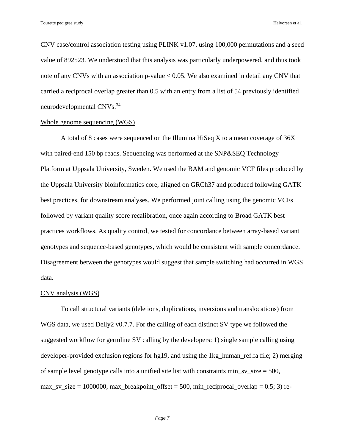CNV case/control association testing using PLINK v1.07, using 100,000 permutations and a seed value of 892523. We understood that this analysis was particularly underpowered, and thus took note of any CNVs with an association p-value < 0.05. We also examined in detail any CNV that carried a reciprocal overlap greater than 0.5 with an entry from a list of 54 previously identified neurodevelopmental CNVs.<sup>[34](#page-25-2)</sup>

# Whole genome sequencing (WGS)

A total of 8 cases were sequenced on the Illumina HiSeq X to a mean coverage of 36X with paired-end 150 bp reads. Sequencing was performed at the SNP&SEQ Technology Platform at Uppsala University, Sweden. We used the BAM and genomic VCF files produced by the Uppsala University bioinformatics core, aligned on GRCh37 and produced following GATK best practices, for downstream analyses. We performed joint calling using the genomic VCFs followed by variant quality score recalibration, once again according to Broad GATK best practices workflows. As quality control, we tested for concordance between array-based variant genotypes and sequence-based genotypes, which would be consistent with sample concordance. Disagreement between the genotypes would suggest that sample switching had occurred in WGS data.

### CNV analysis (WGS)

To call structural variants (deletions, duplications, inversions and translocations) from WGS data, we used Delly2 v0.7.7. For the calling of each distinct SV type we followed the suggested workflow for germline SV calling by the developers: 1) single sample calling using developer-provided exclusion regions for hg19, and using the 1kg\_human\_ref.fa file; 2) merging of sample level genotype calls into a unified site list with constraints min sv  $size = 500$ ,  $max\_sv\_size = 1000000$ ,  $max\_breakpoint\_offset = 500$ ,  $min\_reciprocal\_overlap = 0.5; 3$  re-

*Page 7*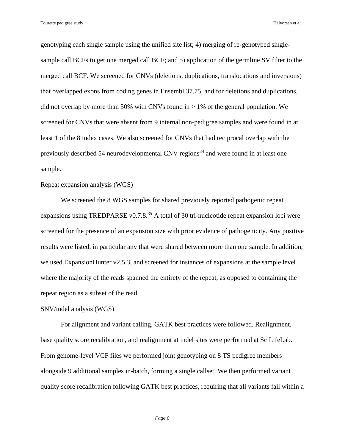genotyping each single sample using the unified site list; 4) merging of re-genotyped singlesample call BCFs to get one merged call BCF; and 5) application of the germline SV filter to the merged call BCF. We screened for CNVs (deletions, duplications, translocations and inversions) that overlapped exons from coding genes in Ensembl 37.75, and for deletions and duplications, did not overlap by more than 50% with CNVs found in  $> 1\%$  of the general population. We screened for CNVs that were absent from 9 internal non-pedigree samples and were found in at least 1 of the 8 index cases. We also screened for CNVs that had reciprocal overlap with the previously described 54 neurodevelopmental CNV regions<sup>[34](#page-25-2)</sup> and were found in at least one sample.

#### Repeat expansion analysis (WGS)

We screened the 8 WGS samples for shared previously reported pathogenic repeat expansions using TREDPARSE v0.7.8. $^{35}$  $^{35}$  $^{35}$  A total of 30 tri-nucleotide repeat expansion loci were screened for the presence of an expansion size with prior evidence of pathogenicity. Any positive results were listed, in particular any that were shared between more than one sample. In addition, we used ExpansionHunter v2.5.3, and screened for instances of expansions at the sample level where the majority of the reads spanned the entirety of the repeat, as opposed to containing the repeat region as a subset of the read.

# SNV/indel analysis (WGS)

For alignment and variant calling, GATK best practices were followed. Realignment, base quality score recalibration, and realignment at indel sites were performed at SciLifeLab. From genome-level VCF files we performed joint genotyping on 8 TS pedigree members alongside 9 additional samples in-batch, forming a single callset. We then performed variant quality score recalibration following GATK best practices, requiring that all variants fall within a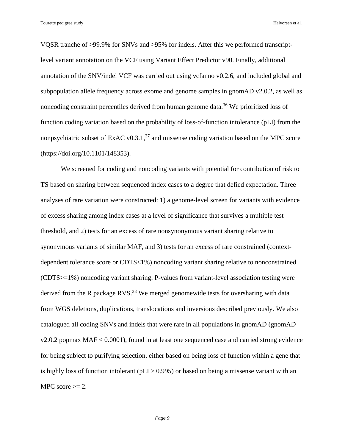VQSR tranche of >99.9% for SNVs and >95% for indels. After this we performed transcriptlevel variant annotation on the VCF using Variant Effect Predictor v90. Finally, additional annotation of the SNV/indel VCF was carried out using vcfanno v0.2.6, and included global and subpopulation allele frequency across exome and genome samples in gnomAD v2.0.2, as well as noncoding constraint percentiles derived from human genome data.<sup>[36](#page-25-4)</sup> We prioritized loss of function coding variation based on the probability of loss-of-function intolerance (pLI) from the nonpsychiatric subset of ExAC v0.3.1, $37$  and missense coding variation based on the MPC score (https://doi.org/10.1101/148353).

We screened for coding and noncoding variants with potential for contribution of risk to TS based on sharing between sequenced index cases to a degree that defied expectation. Three analyses of rare variation were constructed: 1) a genome-level screen for variants with evidence of excess sharing among index cases at a level of significance that survives a multiple test threshold, and 2) tests for an excess of rare nonsynonymous variant sharing relative to synonymous variants of similar MAF, and 3) tests for an excess of rare constrained (contextdependent tolerance score or CDTS<1%) noncoding variant sharing relative to nonconstrained (CDTS>=1%) noncoding variant sharing. P-values from variant-level association testing were derived from the R package RVS.<sup>[38](#page-25-6)</sup> We merged genomewide tests for oversharing with data from WGS deletions, duplications, translocations and inversions described previously. We also catalogued all coding SNVs and indels that were rare in all populations in gnomAD (gnomAD v2.0.2 popmax MAF < 0.0001), found in at least one sequenced case and carried strong evidence for being subject to purifying selection, either based on being loss of function within a gene that is highly loss of function intolerant ( $pLI > 0.995$ ) or based on being a missense variant with an MPC score  $\geq$  2.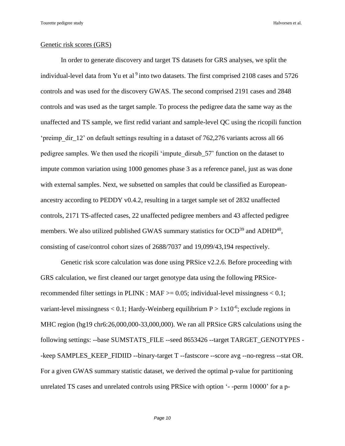# Genetic risk scores (GRS)

In order to generate discovery and target TS datasets for GRS analyses, we split the individual-level data from Yu et al  $9$  into two datasets. The first comprised 2108 cases and 5726 controls and was used for the discovery GWAS. The second comprised 2191 cases and 2848 controls and was used as the target sample. To process the pedigree data the same way as the unaffected and TS sample, we first redid variant and sample-level QC using the ricopili function 'preimp\_dir\_12' on default settings resulting in a dataset of 762,276 variants across all 66 pedigree samples. We then used the ricopili 'impute\_dirsub\_57' function on the dataset to impute common variation using 1000 genomes phase 3 as a reference panel, just as was done with external samples. Next, we subsetted on samples that could be classified as Europeanancestry according to PEDDY v0.4.2, resulting in a target sample set of 2832 unaffected controls, 2171 TS-affected cases, 22 unaffected pedigree members and 43 affected pedigree members. We also utilized published GWAS summary statistics for OCD<sup>[39](#page-25-7)</sup> and ADHD<sup>[40](#page-25-8)</sup>, consisting of case/control cohort sizes of 2688/7037 and 19,099/43,194 respectively.

Genetic risk score calculation was done using PRSice v2.2.6. Before proceeding with GRS calculation, we first cleaned our target genotype data using the following PRSicerecommended filter settings in PLINK :  $MAF \ge 0.05$ ; individual-level missingness < 0.1; variant-level missingness  $< 0.1$ ; Hardy-Weinberg equilibrium  $P > 1x10^{-6}$ ; exclude regions in MHC region (hg19 chr6:26,000,000-33,000,000). We ran all PRSice GRS calculations using the following settings: --base SUMSTATS\_FILE --seed 8653426 --target TARGET\_GENOTYPES - -keep SAMPLES\_KEEP\_FIDIID --binary-target T --fastscore --score avg --no-regress --stat OR. For a given GWAS summary statistic dataset, we derived the optimal p-value for partitioning unrelated TS cases and unrelated controls using PRSice with option '- -perm 10000' for a p-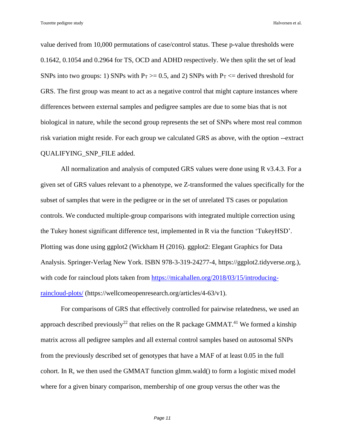value derived from 10,000 permutations of case/control status. These p-value thresholds were 0.1642, 0.1054 and 0.2964 for TS, OCD and ADHD respectively. We then split the set of lead SNPs into two groups: 1) SNPs with  $P_T \ge 0.5$ , and 2) SNPs with  $P_T \le$  derived threshold for GRS. The first group was meant to act as a negative control that might capture instances where differences between external samples and pedigree samples are due to some bias that is not biological in nature, while the second group represents the set of SNPs where most real common risk variation might reside. For each group we calculated GRS as above, with the option --extract QUALIFYING\_SNP\_FILE added.

All normalization and analysis of computed GRS values were done using R v3.4.3. For a given set of GRS values relevant to a phenotype, we Z-transformed the values specifically for the subset of samples that were in the pedigree or in the set of unrelated TS cases or population controls. We conducted multiple-group comparisons with integrated multiple correction using the Tukey honest significant difference test, implemented in R via the function 'TukeyHSD'. Plotting was done using ggplot2 (Wickham H (2016). ggplot2: Elegant Graphics for Data Analysis. Springer-Verlag New York. ISBN 978-3-319-24277-4, https://ggplot2.tidyverse.org.), with code for raincloud plots taken from [https://micahallen.org/2018/03/15/introducing](https://micahallen.org/2018/03/15/introducing-raincloud-plots/)[raincloud-plots/](https://micahallen.org/2018/03/15/introducing-raincloud-plots/) (https://wellcomeopenresearch.org/articles/4-63/v1).

For comparisons of GRS that effectively controlled for pairwise relatedness, we used an approach described previously<sup>[22](#page-23-2)</sup> that relies on the R package GMMAT.<sup>[41](#page-25-9)</sup> We formed a kinship matrix across all pedigree samples and all external control samples based on autosomal SNPs from the previously described set of genotypes that have a MAF of at least 0.05 in the full cohort. In R, we then used the GMMAT function glmm.wald() to form a logistic mixed model where for a given binary comparison, membership of one group versus the other was the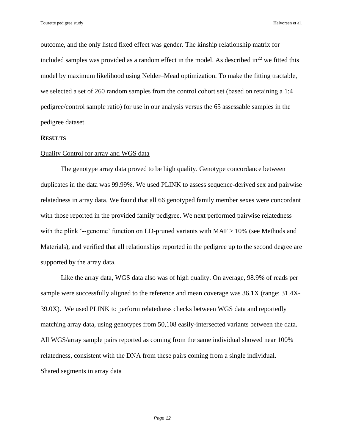outcome, and the only listed fixed effect was gender. The kinship relationship matrix for included samples was provided as a random effect in the model. As described  $\ln^{22}$  $\ln^{22}$  $\ln^{22}$  we fitted this model by maximum likelihood using Nelder–Mead optimization. To make the fitting tractable, we selected a set of 260 random samples from the control cohort set (based on retaining a 1:4 pedigree/control sample ratio) for use in our analysis versus the 65 assessable samples in the pedigree dataset.

#### **RESULTS**

#### Quality Control for array and WGS data

The genotype array data proved to be high quality. Genotype concordance between duplicates in the data was 99.99%. We used PLINK to assess sequence-derived sex and pairwise relatedness in array data. We found that all 66 genotyped family member sexes were concordant with those reported in the provided family pedigree. We next performed pairwise relatedness with the plink '--genome' function on LD-pruned variants with MAF > 10% (see Methods and Materials), and verified that all relationships reported in the pedigree up to the second degree are supported by the array data.

Like the array data, WGS data also was of high quality. On average, 98.9% of reads per sample were successfully aligned to the reference and mean coverage was 36.1X (range: 31.4X-39.0X). We used PLINK to perform relatedness checks between WGS data and reportedly matching array data, using genotypes from 50,108 easily-intersected variants between the data. All WGS/array sample pairs reported as coming from the same individual showed near 100% relatedness, consistent with the DNA from these pairs coming from a single individual. Shared segments in array data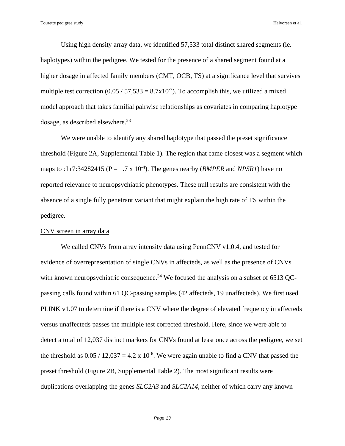Using high density array data, we identified 57,533 total distinct shared segments (ie. haplotypes) within the pedigree. We tested for the presence of a shared segment found at a higher dosage in affected family members (CMT, OCB, TS) at a significance level that survives multiple test correction  $(0.05 / 57,533 = 8.7 \times 10^{-7})$ . To accomplish this, we utilized a mixed model approach that takes familial pairwise relationships as covariates in comparing haplotype dosage, as described elsewhere. $^{23}$  $^{23}$  $^{23}$ 

We were unable to identify any shared haplotype that passed the preset significance threshold (Figure 2A, Supplemental Table 1). The region that came closest was a segment which maps to chr7:34282415 ( $P = 1.7 \times 10^{-4}$ ). The genes nearby (*BMPER* and *NPSR1*) have no reported relevance to neuropsychiatric phenotypes. These null results are consistent with the absence of a single fully penetrant variant that might explain the high rate of TS within the pedigree.

### CNV screen in array data

We called CNVs from array intensity data using PennCNV  $v1.0.4$ , and tested for evidence of overrepresentation of single CNVs in affecteds, as well as the presence of CNVs with known neuropsychiatric consequence.<sup>[34](#page-25-2)</sup> We focused the analysis on a subset of 6513 QCpassing calls found within 61 QC-passing samples (42 affecteds, 19 unaffecteds). We first used PLINK v1.07 to determine if there is a CNV where the degree of elevated frequency in affecteds versus unaffecteds passes the multiple test corrected threshold. Here, since we were able to detect a total of 12,037 distinct markers for CNVs found at least once across the pedigree, we set the threshold as  $0.05 / 12{,}037 = 4.2 \times 10^{-6}$ . We were again unable to find a CNV that passed the preset threshold (Figure 2B, Supplemental Table 2). The most significant results were duplications overlapping the genes *SLC2A3* and *SLC2A14*, neither of which carry any known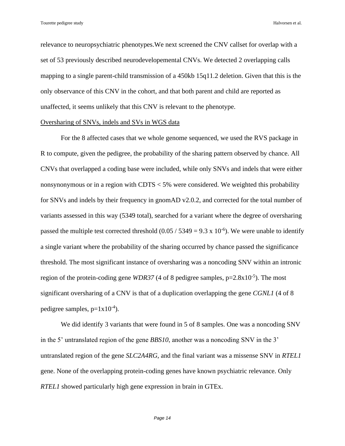relevance to neuropsychiatric phenotypes.We next screened the CNV callset for overlap with a set of 53 previously described neurodevelopemental CNVs. We detected 2 overlapping calls mapping to a single parent-child transmission of a 450kb 15q11.2 deletion. Given that this is the only observance of this CNV in the cohort, and that both parent and child are reported as unaffected, it seems unlikely that this CNV is relevant to the phenotype.

# Oversharing of SNVs, indels and SVs in WGS data

For the 8 affected cases that we whole genome sequenced, we used the RVS package in R to compute, given the pedigree, the probability of the sharing pattern observed by chance. All CNVs that overlapped a coding base were included, while only SNVs and indels that were either nonsynonymous or in a region with CDTS < 5% were considered. We weighted this probability for SNVs and indels by their frequency in gnomAD v2.0.2, and corrected for the total number of variants assessed in this way (5349 total), searched for a variant where the degree of oversharing passed the multiple test corrected threshold  $(0.05 / 5349 = 9.3 \times 10^{-6})$ . We were unable to identify a single variant where the probability of the sharing occurred by chance passed the significance threshold. The most significant instance of oversharing was a noncoding SNV within an intronic region of the protein-coding gene  $WDR37$  (4 of 8 pedigree samples,  $p=2.8x10^{-5}$ ). The most significant oversharing of a CNV is that of a duplication overlapping the gene *CGNL1* (4 of 8 pedigree samples,  $p=1x10^{-4}$ ).

We did identify 3 variants that were found in 5 of 8 samples. One was a noncoding SNV in the 5' untranslated region of the gene *BBS10*, another was a noncoding SNV in the 3' untranslated region of the gene *SLC2A4RG*, and the final variant was a missense SNV in *RTEL1* gene. None of the overlapping protein-coding genes have known psychiatric relevance. Only *RTEL1* showed particularly high gene expression in brain in GTEx.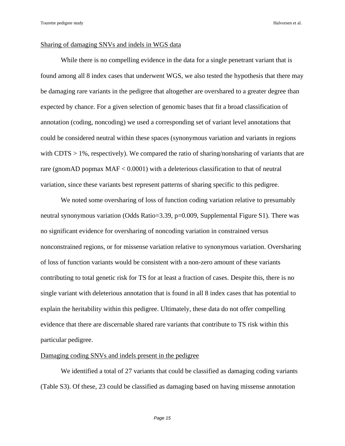# Sharing of damaging SNVs and indels in WGS data

While there is no compelling evidence in the data for a single penetrant variant that is found among all 8 index cases that underwent WGS, we also tested the hypothesis that there may be damaging rare variants in the pedigree that altogether are overshared to a greater degree than expected by chance. For a given selection of genomic bases that fit a broad classification of annotation (coding, noncoding) we used a corresponding set of variant level annotations that could be considered neutral within these spaces (synonymous variation and variants in regions with  $CDTS > 1\%$ , respectively). We compared the ratio of sharing/nonsharing of variants that are rare (gnomAD popmax MAF < 0.0001) with a deleterious classification to that of neutral variation, since these variants best represent patterns of sharing specific to this pedigree.

We noted some oversharing of loss of function coding variation relative to presumably neutral synonymous variation (Odds Ratio=3.39, p=0.009, Supplemental Figure S1). There was no significant evidence for oversharing of noncoding variation in constrained versus nonconstrained regions, or for missense variation relative to synonymous variation. Oversharing of loss of function variants would be consistent with a non-zero amount of these variants contributing to total genetic risk for TS for at least a fraction of cases. Despite this, there is no single variant with deleterious annotation that is found in all 8 index cases that has potential to explain the heritability within this pedigree. Ultimately, these data do not offer compelling evidence that there are discernable shared rare variants that contribute to TS risk within this particular pedigree.

# Damaging coding SNVs and indels present in the pedigree

We identified a total of 27 variants that could be classified as damaging coding variants (Table S3). Of these, 23 could be classified as damaging based on having missense annotation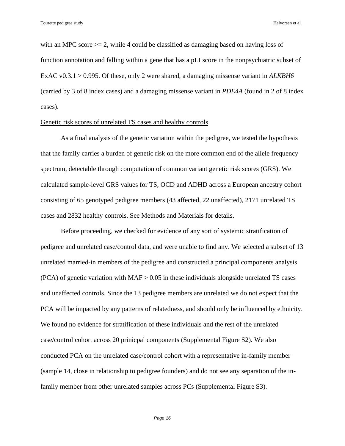with an MPC score  $\geq$  2, while 4 could be classified as damaging based on having loss of function annotation and falling within a gene that has a pLI score in the nonpsychiatric subset of ExAC v0.3.1 > 0.995. Of these, only 2 were shared, a damaging missense variant in *ALKBH6* (carried by 3 of 8 index cases) and a damaging missense variant in *PDE4A* (found in 2 of 8 index cases).

# Genetic risk scores of unrelated TS cases and healthy controls

As a final analysis of the genetic variation within the pedigree, we tested the hypothesis that the family carries a burden of genetic risk on the more common end of the allele frequency spectrum, detectable through computation of common variant genetic risk scores (GRS). We calculated sample-level GRS values for TS, OCD and ADHD across a European ancestry cohort consisting of 65 genotyped pedigree members (43 affected, 22 unaffected), 2171 unrelated TS cases and 2832 healthy controls. See Methods and Materials for details.

Before proceeding, we checked for evidence of any sort of systemic stratification of pedigree and unrelated case/control data, and were unable to find any. We selected a subset of 13 unrelated married-in members of the pedigree and constructed a principal components analysis (PCA) of genetic variation with  $MAF > 0.05$  in these individuals alongside unrelated TS cases and unaffected controls. Since the 13 pedigree members are unrelated we do not expect that the PCA will be impacted by any patterns of relatedness, and should only be influenced by ethnicity. We found no evidence for stratification of these individuals and the rest of the unrelated case/control cohort across 20 prinicpal components (Supplemental Figure S2). We also conducted PCA on the unrelated case/control cohort with a representative in-family member (sample 14, close in relationship to pedigree founders) and do not see any separation of the infamily member from other unrelated samples across PCs (Supplemental Figure S3).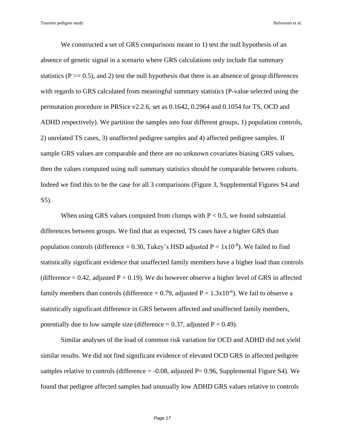We constructed a set of GRS comparisons meant to 1) test the null hypothesis of an absence of genetic signal in a scenario where GRS calculations only include flat summary statistics ( $P \ge 0.5$ ), and 2) test the null hypothesis that there is an absence of group differences with regards to GRS calculated from meaningful summary statistics (P-value selected using the permutation procedure in PRSice v2.2.6, set as 0.1642, 0.2964 and 0.1054 for TS, OCD and ADHD respectively). We partition the samples into four different groups, 1) population controls, 2) unrelated TS cases, 3) unaffected pedigree samples and 4) affected pedigree samples. If sample GRS values are comparable and there are no unknown covariates biasing GRS values, then the values computed using null summary statistics should be comparable between cohorts. Indeed we find this to be the case for all 3 comparisons (Figure 3, Supplemental Figures S4 and S5).

When using GRS values computed from clumps with  $P < 0.5$ , we found substantial differences between groups. We find that as expected, TS cases have a higher GRS than population controls (difference = 0.30, Tukey's HSD adjusted  $P < 1x10^{-8}$ ). We failed to find statistically significant evidence that unaffected family members have a higher load than controls (difference = 0.42, adjusted  $P = 0.19$ ). We do however observe a higher level of GRS in affected family members than controls (difference = 0.79, adjusted  $P = 1.3x10^{-6}$ ). We fail to observe a statistically significant difference in GRS between affected and unaffected family members, potentially due to low sample size (difference  $= 0.37$ , adjusted  $P = 0.49$ ).

Similar analyses of the load of common risk variation for OCD and ADHD did not yield similar results. We did not find significant evidence of elevated OCD GRS in affected pedigree samples relative to controls (difference  $= -0.08$ , adjusted P $= 0.96$ , Supplemental Figure S4). We found that pedigree affected samples had unusually low ADHD GRS values relative to controls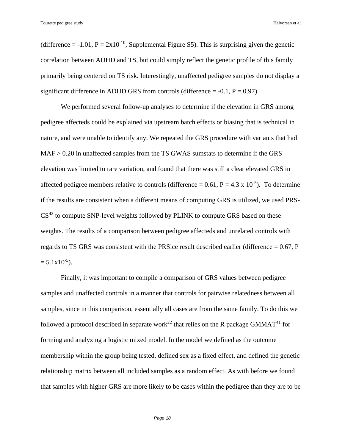(difference =  $-1.01$ ,  $P = 2x10^{-10}$ , Supplemental Figure S5). This is surprising given the genetic correlation between ADHD and TS, but could simply reflect the genetic profile of this family primarily being centered on TS risk. Interestingly, unaffected pedigree samples do not display a significant difference in ADHD GRS from controls (difference  $= -0.1$ ,  $P = 0.97$ ).

We performed several follow-up analyses to determine if the elevation in GRS among pedigree affecteds could be explained via upstream batch effects or biasing that is technical in nature, and were unable to identify any. We repeated the GRS procedure with variants that had MAF > 0.20 in unaffected samples from the TS GWAS sumstats to determine if the GRS elevation was limited to rare variation, and found that there was still a clear elevated GRS in affected pedigree members relative to controls (difference =  $0.61$ , P =  $4.3 \times 10^{-5}$ ). To determine if the results are consistent when a different means of computing GRS is utilized, we used PRS- $CS<sup>42</sup>$  $CS<sup>42</sup>$  $CS<sup>42</sup>$  to compute SNP-level weights followed by PLINK to compute GRS based on these weights. The results of a comparison between pedigree affecteds and unrelated controls with regards to TS GRS was consistent with the PRSice result described earlier (difference  $= 0.67$ , P  $= 5.1 \times 10^{-5}$ ).

Finally, it was important to compile a comparison of GRS values between pedigree samples and unaffected controls in a manner that controls for pairwise relatedness between all samples, since in this comparison, essentially all cases are from the same family. To do this we followed a protocol described in separate work<sup>[22](#page-23-2)</sup> that relies on the R package GMMAT<sup>[41](#page-25-9)</sup> for forming and analyzing a logistic mixed model. In the model we defined as the outcome membership within the group being tested, defined sex as a fixed effect, and defined the genetic relationship matrix between all included samples as a random effect. As with before we found that samples with higher GRS are more likely to be cases within the pedigree than they are to be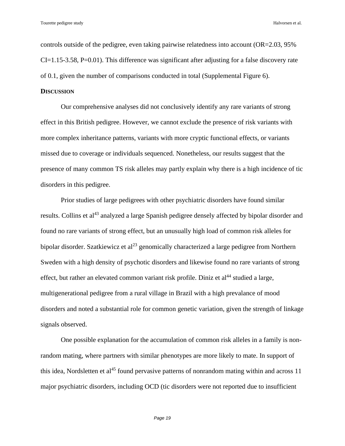controls outside of the pedigree, even taking pairwise relatedness into account (OR=2.03, 95%  $CI = 1.15 - 3.58$ ,  $P = 0.01$ ). This difference was significant after adjusting for a false discovery rate of 0.1, given the number of comparisons conducted in total (Supplemental Figure 6).

# **DISCUSSION**

Our comprehensive analyses did not conclusively identify any rare variants of strong effect in this British pedigree. However, we cannot exclude the presence of risk variants with more complex inheritance patterns, variants with more cryptic functional effects, or variants missed due to coverage or individuals sequenced. Nonetheless, our results suggest that the presence of many common TS risk alleles may partly explain why there is a high incidence of tic disorders in this pedigree.

Prior studies of large pedigrees with other psychiatric disorders have found similar results. Collins et al<sup>[43](#page-26-0)</sup> analyzed a large Spanish pedigree densely affected by bipolar disorder and found no rare variants of strong effect, but an unusually high load of common risk alleles for bipolar disorder. Szatkiewicz et al<sup>[23](#page-24-3)</sup> genomically characterized a large pedigree from Northern Sweden with a high density of psychotic disorders and likewise found no rare variants of strong effect, but rather an elevated common variant risk profile. Diniz et  $al<sup>44</sup>$  $al<sup>44</sup>$  $al<sup>44</sup>$  studied a large, multigenerational pedigree from a rural village in Brazil with a high prevalance of mood disorders and noted a substantial role for common genetic variation, given the strength of linkage signals observed.

One possible explanation for the accumulation of common risk alleles in a family is nonrandom mating, where partners with similar phenotypes are more likely to mate. In support of this idea, Nordsletten et al<sup>[45](#page-26-2)</sup> found pervasive patterns of nonrandom mating within and across 11 major psychiatric disorders, including OCD (tic disorders were not reported due to insufficient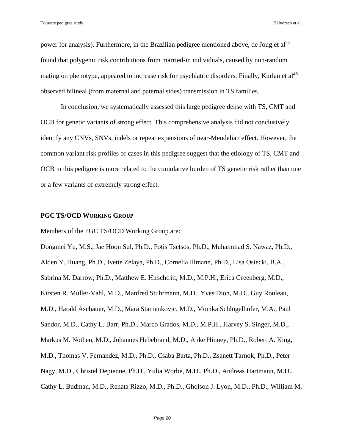power for analysis). Furthermore, in the Brazilian pedigree mentioned above, de Jong et  $al^{24}$  $al^{24}$  $al^{24}$ found that polygenic risk contributions from married-in individuals, caused by non-random mating on phenotype, appeared to increase risk for psychiatric disorders. Finally, Kurlan et al<sup>[46](#page-26-3)</sup> observed bilineal (from maternal and paternal sides) transmission in TS families.

In conclusion, we systematically assessed this large pedigree dense with TS, CMT and OCB for genetic variants of strong effect. This comprehensive analysis did not conclusively identify any CNVs, SNVs, indels or repeat expansions of near-Mendelian effect. However, the common variant risk profiles of cases in this pedigree suggest that the etiology of TS, CMT and OCB in this pedigree is more related to the cumulative burden of TS genetic risk rather than one or a few variants of extremely strong effect.

#### **PGC TS/OCD WORKING GROUP**

Members of the PGC TS/OCD Working Group are:

Dongmei Yu, M.S., Jae Hoon Sul, Ph.D., Fotis Tsetsos, Ph.D., Muhammad S. Nawaz, Ph.D., Alden Y. Huang, Ph.D., Ivette Zelaya, Ph.D., Cornelia Illmann, Ph.D., Lisa Osiecki, B.A., Sabrina M. Darrow, Ph.D., Matthew E. Hirschtritt, M.D., M.P.H., Erica Greenberg, M.D., Kirsten R. Muller-Vahl, M.D., Manfred Stuhrmann, M.D., Yves Dion, M.D., Guy Rouleau, M.D., Harald Aschauer, M.D., Mara Stamenkovic, M.D., Monika Schlögelhofer, M.A., Paul Sandor, M.D., Cathy L. Barr, Ph.D., Marco Grados, M.D., M.P.H., Harvey S. Singer, M.D., Markus M. Nöthen, M.D., Johannes Hebebrand, M.D., Anke Hinney, Ph.D., Robert A. King, M.D., Thomas V. Fernandez, M.D., Ph.D., Csaba Barta, Ph.D., Zsanett Tarnok, Ph.D., Peter Nagy, M.D., Christel Depienne, Ph.D., Yulia Worbe, M.D., Ph.D., Andreas Hartmann, M.D., Cathy L. Budman, M.D., Renata Rizzo, M.D., Ph.D., Gholson J. Lyon, M.D., Ph.D., William M.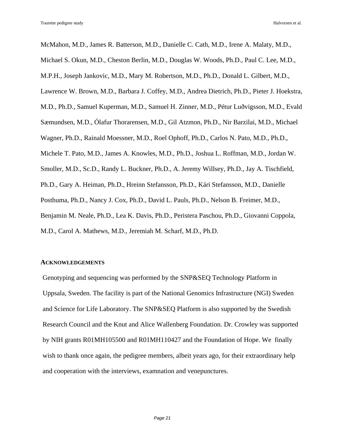McMahon, M.D., James R. Batterson, M.D., Danielle C. Cath, M.D., Irene A. Malaty, M.D., Michael S. Okun, M.D., Cheston Berlin, M.D., Douglas W. Woods, Ph.D., Paul C. Lee, M.D., M.P.H., Joseph Jankovic, M.D., Mary M. Robertson, M.D., Ph.D., Donald L. Gilbert, M.D., Lawrence W. Brown, M.D., Barbara J. Coffey, M.D., Andrea Dietrich, Ph.D., Pieter J. Hoekstra, M.D., Ph.D., Samuel Kuperman, M.D., Samuel H. Zinner, M.D., Pétur Luðvigsson, M.D., Evald Sæmundsen, M.D., Ólafur Thorarensen, M.D., Gil Atzmon, Ph.D., Nir Barzilai, M.D., Michael Wagner, Ph.D., Rainald Moessner, M.D., Roel Ophoff, Ph.D., Carlos N. Pato, M.D., Ph.D., Michele T. Pato, M.D., James A. Knowles, M.D., Ph.D., Joshua L. Roffman, M.D., Jordan W. Smoller, M.D., Sc.D., Randy L. Buckner, Ph.D., A. Jeremy Willsey, Ph.D., Jay A. Tischfield, Ph.D., Gary A. Heiman, Ph.D., Hreinn Stefansson, Ph.D., Kári Stefansson, M.D., Danielle Posthuma, Ph.D., Nancy J. Cox, Ph.D., David L. Pauls, Ph.D., Nelson B. Freimer, M.D., Benjamin M. Neale, Ph.D., Lea K. Davis, Ph.D., Peristera Paschou, Ph.D., Giovanni Coppola, M.D., Carol A. Mathews, M.D., Jeremiah M. Scharf, M.D., Ph.D.

### **ACKNOWLEDGEMENTS**

Genotyping and sequencing was performed by the SNP&SEQ Technology Platform in Uppsala, Sweden. The facility is part of the National Genomics Infrastructure (NGI) Sweden and Science for Life Laboratory. The SNP&SEQ Platform is also supported by the Swedish Research Council and the Knut and Alice Wallenberg Foundation. Dr. Crowley was supported by NIH grants R01MH105500 and R01MH110427 and the Foundation of Hope. We finally wish to thank once again, the pedigree members, albeit years ago, for their extraordinary help and cooperation with the interviews, examnation and venepunctures.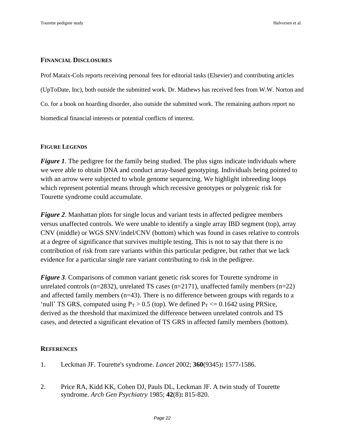# **FINANCIAL DISCLOSURES**

Prof Mataix-Cols reports receiving personal fees for editorial tasks (Elsevier) and contributing articles (UpToDate, Inc), both outside the submitted work. Dr. Mathews has received fees from W.W. Norton and Co. for a book on hoarding disorder, also outside the submitted work. The remaining authors report no biomedical financial interests or potential conflicts of interest.

# **FIGURE LEGENDS**

*Figure 1*. The pedigree for the family being studied. The plus signs indicate individuals where we were able to obtain DNA and conduct array-based genotyping. Individuals being pointed to with an arrow were subjected to whole genome sequencing. We highlight inbreeding loops which represent potential means through which recessive genotypes or polygenic risk for Tourette syndrome could accumulate.

*Figure 2*. Manhattan plots for single locus and variant tests in affected pedigree members versus unaffected controls. We were unable to identify a single array IBD segment (top), array CNV (middle) or WGS SNV/indel/CNV (bottom) which was found in cases relative to controls at a degree of significance that survives multiple testing. This is not to say that there is no contribution of risk from rare variants within this particular pedigree, but rather that we lack evidence for a particular single rare variant contributing to risk in the pedigree.

*Figure 3*. Comparisons of common variant genetic risk scores for Tourette syndrome in unrelated controls (n=2832), unrelated TS cases (n=2171), unaffected family members (n=22) and affected family members (n=43). There is no difference between groups with regards to a 'null' TS GRS, computed using  $P_T > 0.5$  (top). We defined  $P_T \le 0.1642$  using PRSice, derived as the threshold that maximized the difference between unrelated controls and TS cases, and detected a significant elevation of TS GRS in affected family members (bottom).

# **REFERENCES**

- <span id="page-21-0"></span>1. Leckman JF. Tourette's syndrome. *Lancet* 2002; **360**(9345)**:** 1577-1586.
- <span id="page-21-1"></span>2. Price RA, Kidd KK, Cohen DJ, Pauls DL, Leckman JF. A twin study of Tourette syndrome. *Arch Gen Psychiatry* 1985; **42**(8)**:** 815-820.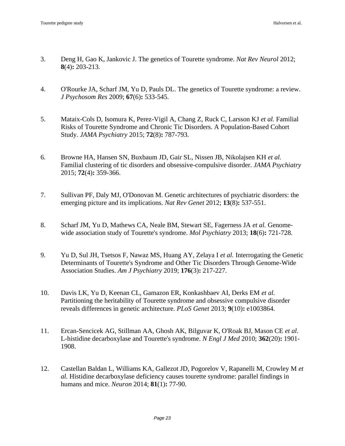- 3. Deng H, Gao K, Jankovic J. The genetics of Tourette syndrome. *Nat Rev Neurol* 2012; **8**(4)**:** 203-213.
- 4. O'Rourke JA, Scharf JM, Yu D, Pauls DL. The genetics of Tourette syndrome: a review. *J Psychosom Res* 2009; **67**(6)**:** 533-545.
- <span id="page-22-0"></span>5. Mataix-Cols D, Isomura K, Perez-Vigil A, Chang Z, Ruck C, Larsson KJ *et al.* Familial Risks of Tourette Syndrome and Chronic Tic Disorders. A Population-Based Cohort Study. *JAMA Psychiatry* 2015; **72**(8)**:** 787-793.
- <span id="page-22-1"></span>6. Browne HA, Hansen SN, Buxbaum JD, Gair SL, Nissen JB, Nikolajsen KH *et al.* Familial clustering of tic disorders and obsessive-compulsive disorder. *JAMA Psychiatry* 2015; **72**(4)**:** 359-366.
- <span id="page-22-2"></span>7. Sullivan PF, Daly MJ, O'Donovan M. Genetic architectures of psychiatric disorders: the emerging picture and its implications. *Nat Rev Genet* 2012; **13**(8)**:** 537-551.
- <span id="page-22-3"></span>8. Scharf JM, Yu D, Mathews CA, Neale BM, Stewart SE, Fagerness JA *et al.* Genomewide association study of Tourette's syndrome. *Mol Psychiatry* 2013; **18**(6)**:** 721-728.
- <span id="page-22-4"></span>9. Yu D, Sul JH, Tsetsos F, Nawaz MS, Huang AY, Zelaya I *et al.* Interrogating the Genetic Determinants of Tourette's Syndrome and Other Tic Disorders Through Genome-Wide Association Studies. *Am J Psychiatry* 2019; **176**(3)**:** 217-227.
- <span id="page-22-5"></span>10. Davis LK, Yu D, Keenan CL, Gamazon ER, Konkashbaev AI, Derks EM *et al.* Partitioning the heritability of Tourette syndrome and obsessive compulsive disorder reveals differences in genetic architecture. *PLoS Genet* 2013; **9**(10)**:** e1003864.
- <span id="page-22-6"></span>11. Ercan-Sencicek AG, Stillman AA, Ghosh AK, Bilguvar K, O'Roak BJ, Mason CE *et al.* L-histidine decarboxylase and Tourette's syndrome. *N Engl J Med* 2010; **362**(20)**:** 1901- 1908.
- 12. Castellan Baldan L, Williams KA, Gallezot JD, Pogorelov V, Rapanelli M, Crowley M *et al.* Histidine decarboxylase deficiency causes tourette syndrome: parallel findings in humans and mice. *Neuron* 2014; **81**(1)**:** 77-90.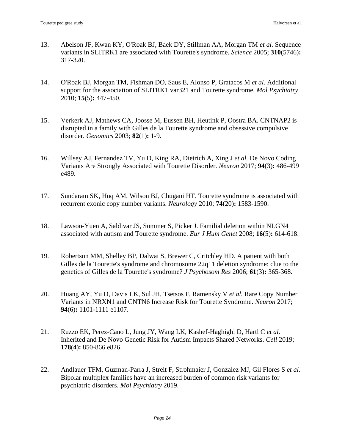- 13. Abelson JF, Kwan KY, O'Roak BJ, Baek DY, Stillman AA, Morgan TM *et al.* Sequence variants in SLITRK1 are associated with Tourette's syndrome. *Science* 2005; **310**(5746)**:**  317-320.
- 14. O'Roak BJ, Morgan TM, Fishman DO, Saus E, Alonso P, Gratacos M *et al.* Additional support for the association of SLITRK1 var321 and Tourette syndrome. *Mol Psychiatry* 2010; **15**(5)**:** 447-450.
- 15. Verkerk AJ, Mathews CA, Joosse M, Eussen BH, Heutink P, Oostra BA. CNTNAP2 is disrupted in a family with Gilles de la Tourette syndrome and obsessive compulsive disorder. *Genomics* 2003; **82**(1)**:** 1-9.
- 16. Willsey AJ, Fernandez TV, Yu D, King RA, Dietrich A, Xing J *et al.* De Novo Coding Variants Are Strongly Associated with Tourette Disorder. *Neuron* 2017; **94**(3)**:** 486-499 e489.
- <span id="page-23-0"></span>17. Sundaram SK, Huq AM, Wilson BJ, Chugani HT. Tourette syndrome is associated with recurrent exonic copy number variants. *Neurology* 2010; **74**(20)**:** 1583-1590.
- 18. Lawson-Yuen A, Saldivar JS, Sommer S, Picker J. Familial deletion within NLGN4 associated with autism and Tourette syndrome. *Eur J Hum Genet* 2008; **16**(5)**:** 614-618.
- 19. Robertson MM, Shelley BP, Dalwai S, Brewer C, Critchley HD. A patient with both Gilles de la Tourette's syndrome and chromosome 22q11 deletion syndrome: clue to the genetics of Gilles de la Tourette's syndrome? *J Psychosom Res* 2006; **61**(3)**:** 365-368.
- 20. Huang AY, Yu D, Davis LK, Sul JH, Tsetsos F, Ramensky V *et al.* Rare Copy Number Variants in NRXN1 and CNTN6 Increase Risk for Tourette Syndrome. *Neuron* 2017; **94**(6)**:** 1101-1111 e1107.
- <span id="page-23-1"></span>21. Ruzzo EK, Perez-Cano L, Jung JY, Wang LK, Kashef-Haghighi D, Hartl C *et al.* Inherited and De Novo Genetic Risk for Autism Impacts Shared Networks. *Cell* 2019; **178**(4)**:** 850-866 e826.
- <span id="page-23-2"></span>22. Andlauer TFM, Guzman-Parra J, Streit F, Strohmaier J, Gonzalez MJ, Gil Flores S *et al.* Bipolar multiplex families have an increased burden of common risk variants for psychiatric disorders. *Mol Psychiatry* 2019.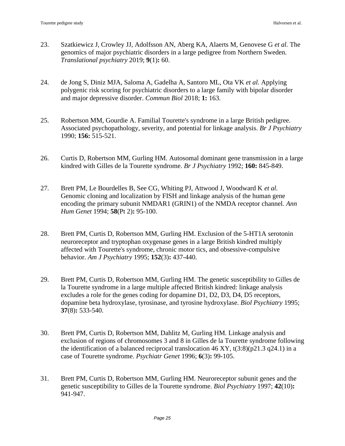- <span id="page-24-3"></span>23. Szatkiewicz J, Crowley JJ, Adolfsson AN, Aberg KA, Alaerts M, Genovese G *et al.* The genomics of major psychiatric disorders in a large pedigree from Northern Sweden. *Translational psychiatry* 2019; **9**(1)**:** 60.
- <span id="page-24-4"></span>24. de Jong S, Diniz MJA, Saloma A, Gadelha A, Santoro ML, Ota VK *et al.* Applying polygenic risk scoring for psychiatric disorders to a large family with bipolar disorder and major depressive disorder. *Commun Biol* 2018; **1:** 163.
- <span id="page-24-0"></span>25. Robertson MM, Gourdie A. Familial Tourette's syndrome in a large British pedigree. Associated psychopathology, severity, and potential for linkage analysis. *Br J Psychiatry* 1990; **156:** 515-521.
- <span id="page-24-1"></span>26. Curtis D, Robertson MM, Gurling HM. Autosomal dominant gene transmission in a large kindred with Gilles de la Tourette syndrome. *Br J Psychiatry* 1992; **160:** 845-849.
- <span id="page-24-2"></span>27. Brett PM, Le Bourdelles B, See CG, Whiting PJ, Attwood J, Woodward K *et al.* Genomic cloning and localization by FISH and linkage analysis of the human gene encoding the primary subunit NMDAR1 (GRIN1) of the NMDA receptor channel. *Ann Hum Genet* 1994; **58**(Pt 2)**:** 95-100.
- 28. Brett PM, Curtis D, Robertson MM, Gurling HM. Exclusion of the 5-HT1A serotonin neuroreceptor and tryptophan oxygenase genes in a large British kindred multiply affected with Tourette's syndrome, chronic motor tics, and obsessive-compulsive behavior. *Am J Psychiatry* 1995; **152**(3)**:** 437-440.
- 29. Brett PM, Curtis D, Robertson MM, Gurling HM. The genetic susceptibility to Gilles de la Tourette syndrome in a large multiple affected British kindred: linkage analysis excludes a role for the genes coding for dopamine D1, D2, D3, D4, D5 receptors, dopamine beta hydroxylase, tyrosinase, and tyrosine hydroxylase. *Biol Psychiatry* 1995; **37**(8)**:** 533-540.
- 30. Brett PM, Curtis D, Robertson MM, Dahlitz M, Gurling HM. Linkage analysis and exclusion of regions of chromosomes 3 and 8 in Gilles de la Tourette syndrome following the identification of a balanced reciprocal translocation  $46$  XY,  $t(3:8)(p21.3 q24.1)$  in a case of Tourette syndrome. *Psychiatr Genet* 1996; **6**(3)**:** 99-105.
- 31. Brett PM, Curtis D, Robertson MM, Gurling HM. Neuroreceptor subunit genes and the genetic susceptibility to Gilles de la Tourette syndrome. *Biol Psychiatry* 1997; **42**(10)**:**  941-947.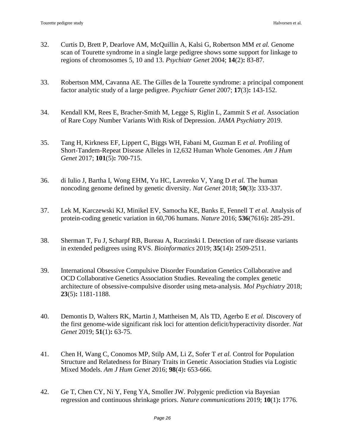- <span id="page-25-0"></span>32. Curtis D, Brett P, Dearlove AM, McQuillin A, Kalsi G, Robertson MM *et al.* Genome scan of Tourette syndrome in a single large pedigree shows some support for linkage to regions of chromosomes 5, 10 and 13. *Psychiatr Genet* 2004; **14**(2)**:** 83-87.
- <span id="page-25-1"></span>33. Robertson MM, Cavanna AE. The Gilles de la Tourette syndrome: a principal component factor analytic study of a large pedigree. *Psychiatr Genet* 2007; **17**(3)**:** 143-152.
- <span id="page-25-2"></span>34. Kendall KM, Rees E, Bracher-Smith M, Legge S, Riglin L, Zammit S *et al.* Association of Rare Copy Number Variants With Risk of Depression. *JAMA Psychiatry* 2019.
- <span id="page-25-3"></span>35. Tang H, Kirkness EF, Lippert C, Biggs WH, Fabani M, Guzman E *et al.* Profiling of Short-Tandem-Repeat Disease Alleles in 12,632 Human Whole Genomes. *Am J Hum Genet* 2017; **101**(5)**:** 700-715.
- <span id="page-25-4"></span>36. di Iulio J, Bartha I, Wong EHM, Yu HC, Lavrenko V, Yang D *et al.* The human noncoding genome defined by genetic diversity. *Nat Genet* 2018; **50**(3)**:** 333-337.
- <span id="page-25-5"></span>37. Lek M, Karczewski KJ, Minikel EV, Samocha KE, Banks E, Fennell T *et al.* Analysis of protein-coding genetic variation in 60,706 humans. *Nature* 2016; **536**(7616)**:** 285-291.
- <span id="page-25-6"></span>38. Sherman T, Fu J, Scharpf RB, Bureau A, Ruczinski I. Detection of rare disease variants in extended pedigrees using RVS. *Bioinformatics* 2019; **35**(14)**:** 2509-2511.
- <span id="page-25-7"></span>39. International Obsessive Compulsive Disorder Foundation Genetics Collaborative and OCD Collaborative Genetics Association Studies. Revealing the complex genetic architecture of obsessive-compulsive disorder using meta-analysis. *Mol Psychiatry* 2018; **23**(5)**:** 1181-1188.
- <span id="page-25-8"></span>40. Demontis D, Walters RK, Martin J, Mattheisen M, Als TD, Agerbo E *et al.* Discovery of the first genome-wide significant risk loci for attention deficit/hyperactivity disorder. *Nat Genet* 2019; **51**(1)**:** 63-75.
- <span id="page-25-9"></span>41. Chen H, Wang C, Conomos MP, Stilp AM, Li Z, Sofer T *et al.* Control for Population Structure and Relatedness for Binary Traits in Genetic Association Studies via Logistic Mixed Models. *Am J Hum Genet* 2016; **98**(4)**:** 653-666.
- <span id="page-25-10"></span>42. Ge T, Chen CY, Ni Y, Feng YA, Smoller JW. Polygenic prediction via Bayesian regression and continuous shrinkage priors. *Nature communications* 2019; **10**(1)**:** 1776.